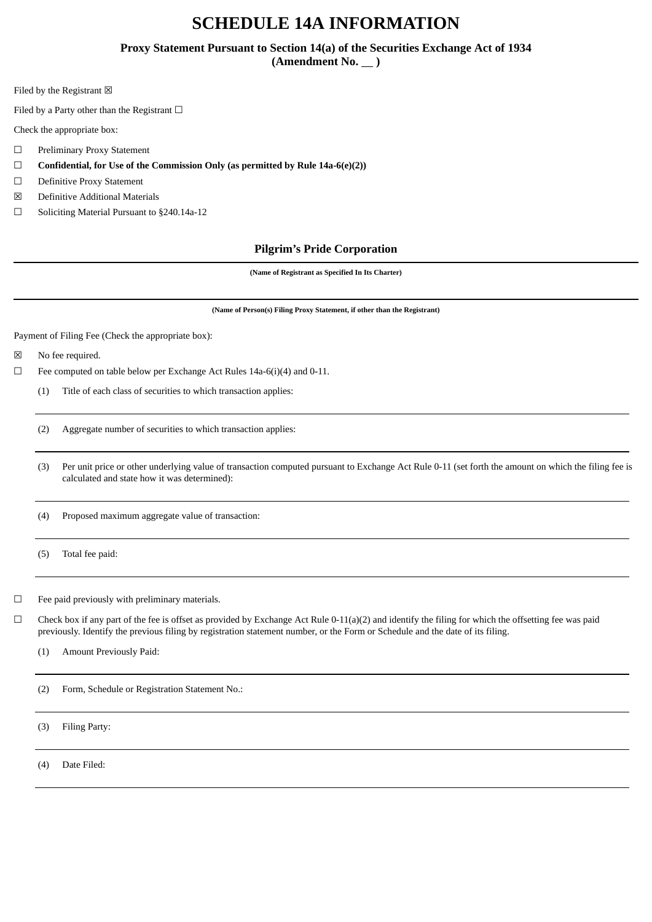# **SCHEDULE 14A INFORMATION**

# **Proxy Statement Pursuant to Section 14(a) of the Securities Exchange Act of 1934**

(Amendment No.  $\_\)$ 

Filed by the Registrant  $\boxtimes$ 

Filed by a Party other than the Registrant  $□$ 

Check the appropriate box:

- ☐ Preliminary Proxy Statement
- ☐ **Confidential, for Use of the Commission Only (as permitted by Rule 14a-6(e)(2))**
- ☐ Definitive Proxy Statement
- ☒ Definitive Additional Materials
- ☐ Soliciting Material Pursuant to §240.14a-12

## **Pilgrim's Pride Corporation**

**(Name of Registrant as Specified In Its Charter)**

**(Name of Person(s) Filing Proxy Statement, if other than the Registrant)**

Payment of Filing Fee (Check the appropriate box):

☒ No fee required.

 $\Box$  Fee computed on table below per Exchange Act Rules 14a-6(i)(4) and 0-11.

(1) Title of each class of securities to which transaction applies:

(2) Aggregate number of securities to which transaction applies:

(3) Per unit price or other underlying value of transaction computed pursuant to Exchange Act Rule 0-11 (set forth the amount on which the filing fee is calculated and state how it was determined):

(4) Proposed maximum aggregate value of transaction:

(5) Total fee paid:

 $\Box$  Fee paid previously with preliminary materials.

 $\Box$  Check box if any part of the fee is offset as provided by Exchange Act Rule 0-11(a)(2) and identify the filing for which the offsetting fee was paid previously. Identify the previous filing by registration statement number, or the Form or Schedule and the date of its filing.

(1) Amount Previously Paid:

(2) Form, Schedule or Registration Statement No.:

(3) Filing Party:

(4) Date Filed: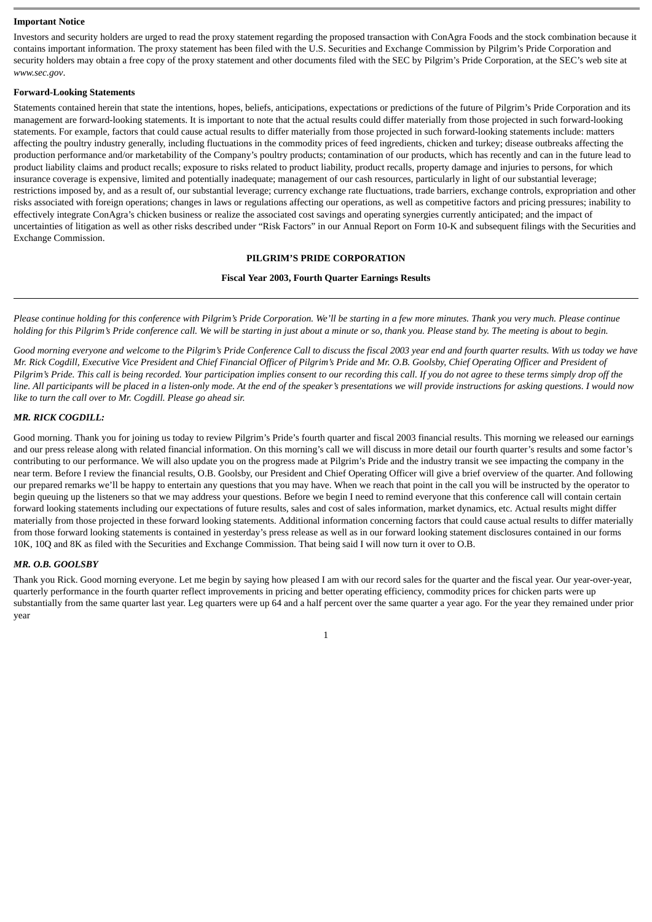#### **Important Notice**

Investors and security holders are urged to read the proxy statement regarding the proposed transaction with ConAgra Foods and the stock combination because it contains important information. The proxy statement has been filed with the U.S. Securities and Exchange Commission by Pilgrim's Pride Corporation and security holders may obtain a free copy of the proxy statement and other documents filed with the SEC by Pilgrim's Pride Corporation, at the SEC's web site at *www.sec.gov*.

#### **Forward-Looking Statements**

Statements contained herein that state the intentions, hopes, beliefs, anticipations, expectations or predictions of the future of Pilgrim's Pride Corporation and its management are forward-looking statements. It is important to note that the actual results could differ materially from those projected in such forward-looking statements. For example, factors that could cause actual results to differ materially from those projected in such forward-looking statements include: matters affecting the poultry industry generally, including fluctuations in the commodity prices of feed ingredients, chicken and turkey; disease outbreaks affecting the production performance and/or marketability of the Company's poultry products; contamination of our products, which has recently and can in the future lead to product liability claims and product recalls; exposure to risks related to product liability, product recalls, property damage and injuries to persons, for which insurance coverage is expensive, limited and potentially inadequate; management of our cash resources, particularly in light of our substantial leverage; restrictions imposed by, and as a result of, our substantial leverage; currency exchange rate fluctuations, trade barriers, exchange controls, expropriation and other risks associated with foreign operations; changes in laws or regulations affecting our operations, as well as competitive factors and pricing pressures; inability to effectively integrate ConAgra's chicken business or realize the associated cost savings and operating synergies currently anticipated; and the impact of uncertainties of litigation as well as other risks described under "Risk Factors" in our Annual Report on Form 10-K and subsequent filings with the Securities and Exchange Commission.

## **PILGRIM'S PRIDE CORPORATION**

## **Fiscal Year 2003, Fourth Quarter Earnings Results**

*Please continue holding for this conference with Pilgrim's Pride Corporation. We'll be starting in a few more minutes. Thank you very much. Please continue holding for this Pilgrim's Pride conference call. We will be starting in just about a minute or so, thank you. Please stand by. The meeting is about to begin.*

*Good morning everyone and welcome to the Pilgrim's Pride Conference Call to discuss the fiscal 2003 year end and fourth quarter results. With us today we have Mr. Rick Cogdill, Executive Vice President and Chief Financial Officer of Pilgrim's Pride and Mr. O.B. Goolsby, Chief Operating Officer and President of Pilgrim's Pride. This call is being recorded. Your participation implies consent to our recording this call. If you do not agree to these terms simply drop off the line. All participants will be placed in a listen-only mode. At the end of the speaker's presentations we will provide instructions for asking questions. I would now like to turn the call over to Mr. Cogdill. Please go ahead sir.*

## *MR. RICK COGDILL:*

Good morning. Thank you for joining us today to review Pilgrim's Pride's fourth quarter and fiscal 2003 financial results. This morning we released our earnings and our press release along with related financial information. On this morning's call we will discuss in more detail our fourth quarter's results and some factor's contributing to our performance. We will also update you on the progress made at Pilgrim's Pride and the industry transit we see impacting the company in the near term. Before I review the financial results, O.B. Goolsby, our President and Chief Operating Officer will give a brief overview of the quarter. And following our prepared remarks we'll be happy to entertain any questions that you may have. When we reach that point in the call you will be instructed by the operator to begin queuing up the listeners so that we may address your questions. Before we begin I need to remind everyone that this conference call will contain certain forward looking statements including our expectations of future results, sales and cost of sales information, market dynamics, etc. Actual results might differ materially from those projected in these forward looking statements. Additional information concerning factors that could cause actual results to differ materially from those forward looking statements is contained in yesterday's press release as well as in our forward looking statement disclosures contained in our forms 10K, 10Q and 8K as filed with the Securities and Exchange Commission. That being said I will now turn it over to O.B.

## *MR. O.B. GOOLSBY*

Thank you Rick. Good morning everyone. Let me begin by saying how pleased I am with our record sales for the quarter and the fiscal year. Our year-over-year, quarterly performance in the fourth quarter reflect improvements in pricing and better operating efficiency, commodity prices for chicken parts were up substantially from the same quarter last year. Leg quarters were up 64 and a half percent over the same quarter a year ago. For the year they remained under prior year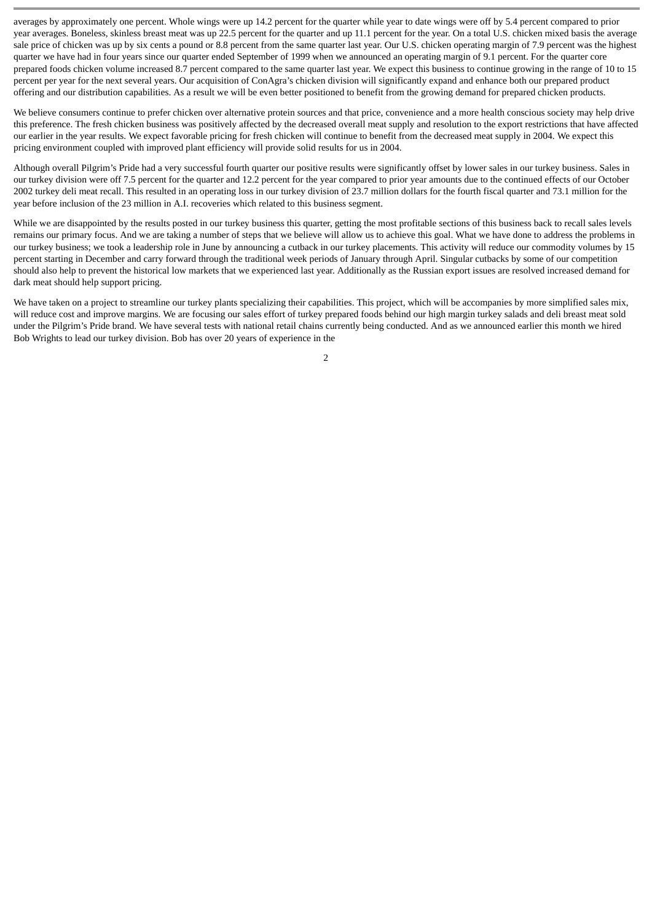averages by approximately one percent. Whole wings were up 14.2 percent for the quarter while year to date wings were off by 5.4 percent compared to prior year averages. Boneless, skinless breast meat was up 22.5 percent for the quarter and up 11.1 percent for the year. On a total U.S. chicken mixed basis the average sale price of chicken was up by six cents a pound or 8.8 percent from the same quarter last year. Our U.S. chicken operating margin of 7.9 percent was the highest quarter we have had in four years since our quarter ended September of 1999 when we announced an operating margin of 9.1 percent. For the quarter core prepared foods chicken volume increased 8.7 percent compared to the same quarter last year. We expect this business to continue growing in the range of 10 to 15 percent per year for the next several years. Our acquisition of ConAgra's chicken division will significantly expand and enhance both our prepared product offering and our distribution capabilities. As a result we will be even better positioned to benefit from the growing demand for prepared chicken products.

We believe consumers continue to prefer chicken over alternative protein sources and that price, convenience and a more health conscious society may help drive this preference. The fresh chicken business was positively affected by the decreased overall meat supply and resolution to the export restrictions that have affected our earlier in the year results. We expect favorable pricing for fresh chicken will continue to benefit from the decreased meat supply in 2004. We expect this pricing environment coupled with improved plant efficiency will provide solid results for us in 2004.

Although overall Pilgrim's Pride had a very successful fourth quarter our positive results were significantly offset by lower sales in our turkey business. Sales in our turkey division were off 7.5 percent for the quarter and 12.2 percent for the year compared to prior year amounts due to the continued effects of our October 2002 turkey deli meat recall. This resulted in an operating loss in our turkey division of 23.7 million dollars for the fourth fiscal quarter and 73.1 million for the year before inclusion of the 23 million in A.I. recoveries which related to this business segment.

While we are disappointed by the results posted in our turkey business this quarter, getting the most profitable sections of this business back to recall sales levels remains our primary focus. And we are taking a number of steps that we believe will allow us to achieve this goal. What we have done to address the problems in our turkey business; we took a leadership role in June by announcing a cutback in our turkey placements. This activity will reduce our commodity volumes by 15 percent starting in December and carry forward through the traditional week periods of January through April. Singular cutbacks by some of our competition should also help to prevent the historical low markets that we experienced last year. Additionally as the Russian export issues are resolved increased demand for dark meat should help support pricing.

We have taken on a project to streamline our turkey plants specializing their capabilities. This project, which will be accompanies by more simplified sales mix, will reduce cost and improve margins. We are focusing our sales effort of turkey prepared foods behind our high margin turkey salads and deli breast meat sold under the Pilgrim's Pride brand. We have several tests with national retail chains currently being conducted. And as we announced earlier this month we hired Bob Wrights to lead our turkey division. Bob has over 20 years of experience in the

 $\mathcal{D}$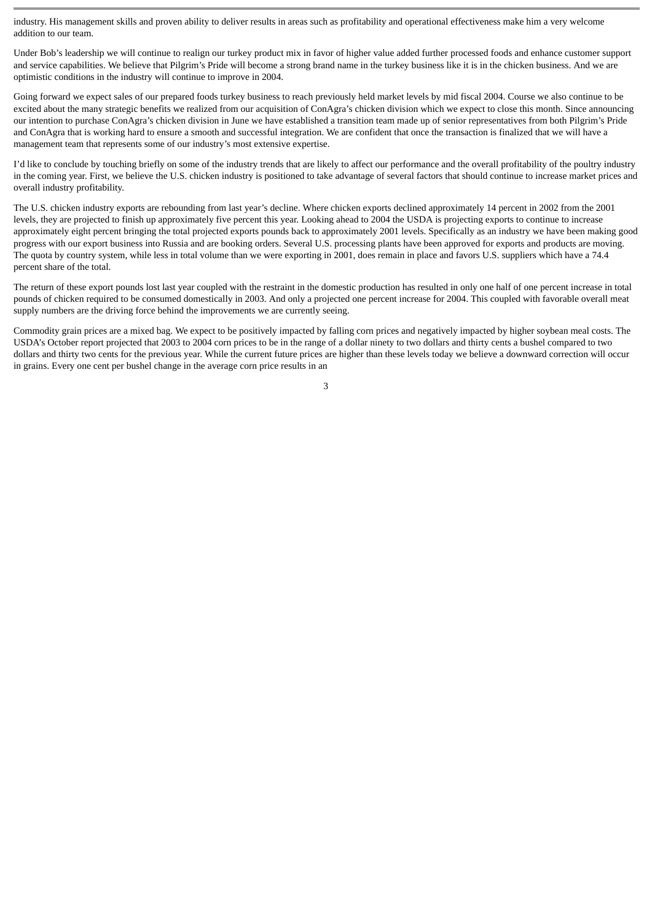industry. His management skills and proven ability to deliver results in areas such as profitability and operational effectiveness make him a very welcome addition to our team.

Under Bob's leadership we will continue to realign our turkey product mix in favor of higher value added further processed foods and enhance customer support and service capabilities. We believe that Pilgrim's Pride will become a strong brand name in the turkey business like it is in the chicken business. And we are optimistic conditions in the industry will continue to improve in 2004.

Going forward we expect sales of our prepared foods turkey business to reach previously held market levels by mid fiscal 2004. Course we also continue to be excited about the many strategic benefits we realized from our acquisition of ConAgra's chicken division which we expect to close this month. Since announcing our intention to purchase ConAgra's chicken division in June we have established a transition team made up of senior representatives from both Pilgrim's Pride and ConAgra that is working hard to ensure a smooth and successful integration. We are confident that once the transaction is finalized that we will have a management team that represents some of our industry's most extensive expertise.

I'd like to conclude by touching briefly on some of the industry trends that are likely to affect our performance and the overall profitability of the poultry industry in the coming year. First, we believe the U.S. chicken industry is positioned to take advantage of several factors that should continue to increase market prices and overall industry profitability.

The U.S. chicken industry exports are rebounding from last year's decline. Where chicken exports declined approximately 14 percent in 2002 from the 2001 levels, they are projected to finish up approximately five percent this year. Looking ahead to 2004 the USDA is projecting exports to continue to increase approximately eight percent bringing the total projected exports pounds back to approximately 2001 levels. Specifically as an industry we have been making good progress with our export business into Russia and are booking orders. Several U.S. processing plants have been approved for exports and products are moving. The quota by country system, while less in total volume than we were exporting in 2001, does remain in place and favors U.S. suppliers which have a 74.4 percent share of the total.

The return of these export pounds lost last year coupled with the restraint in the domestic production has resulted in only one half of one percent increase in total pounds of chicken required to be consumed domestically in 2003. And only a projected one percent increase for 2004. This coupled with favorable overall meat supply numbers are the driving force behind the improvements we are currently seeing.

Commodity grain prices are a mixed bag. We expect to be positively impacted by falling corn prices and negatively impacted by higher soybean meal costs. The USDA's October report projected that 2003 to 2004 corn prices to be in the range of a dollar ninety to two dollars and thirty cents a bushel compared to two dollars and thirty two cents for the previous year. While the current future prices are higher than these levels today we believe a downward correction will occur in grains. Every one cent per bushel change in the average corn price results in an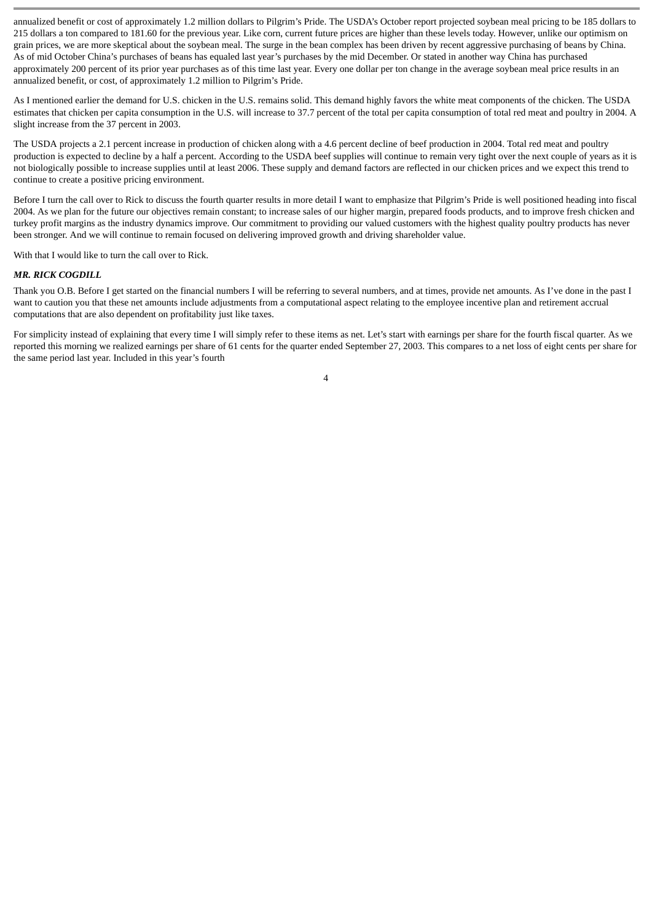annualized benefit or cost of approximately 1.2 million dollars to Pilgrim's Pride. The USDA's October report projected soybean meal pricing to be 185 dollars to 215 dollars a ton compared to 181.60 for the previous year. Like corn, current future prices are higher than these levels today. However, unlike our optimism on grain prices, we are more skeptical about the soybean meal. The surge in the bean complex has been driven by recent aggressive purchasing of beans by China. As of mid October China's purchases of beans has equaled last year's purchases by the mid December. Or stated in another way China has purchased approximately 200 percent of its prior year purchases as of this time last year. Every one dollar per ton change in the average soybean meal price results in an annualized benefit, or cost, of approximately 1.2 million to Pilgrim's Pride.

As I mentioned earlier the demand for U.S. chicken in the U.S. remains solid. This demand highly favors the white meat components of the chicken. The USDA estimates that chicken per capita consumption in the U.S. will increase to 37.7 percent of the total per capita consumption of total red meat and poultry in 2004. A slight increase from the 37 percent in 2003.

The USDA projects a 2.1 percent increase in production of chicken along with a 4.6 percent decline of beef production in 2004. Total red meat and poultry production is expected to decline by a half a percent. According to the USDA beef supplies will continue to remain very tight over the next couple of years as it is not biologically possible to increase supplies until at least 2006. These supply and demand factors are reflected in our chicken prices and we expect this trend to continue to create a positive pricing environment.

Before I turn the call over to Rick to discuss the fourth quarter results in more detail I want to emphasize that Pilgrim's Pride is well positioned heading into fiscal 2004. As we plan for the future our objectives remain constant; to increase sales of our higher margin, prepared foods products, and to improve fresh chicken and turkey profit margins as the industry dynamics improve. Our commitment to providing our valued customers with the highest quality poultry products has never been stronger. And we will continue to remain focused on delivering improved growth and driving shareholder value.

With that I would like to turn the call over to Rick.

#### *MR. RICK COGDILL*

Thank you O.B. Before I get started on the financial numbers I will be referring to several numbers, and at times, provide net amounts. As I've done in the past I want to caution you that these net amounts include adjustments from a computational aspect relating to the employee incentive plan and retirement accrual computations that are also dependent on profitability just like taxes.

For simplicity instead of explaining that every time I will simply refer to these items as net. Let's start with earnings per share for the fourth fiscal quarter. As we reported this morning we realized earnings per share of 61 cents for the quarter ended September 27, 2003. This compares to a net loss of eight cents per share for the same period last year. Included in this year's fourth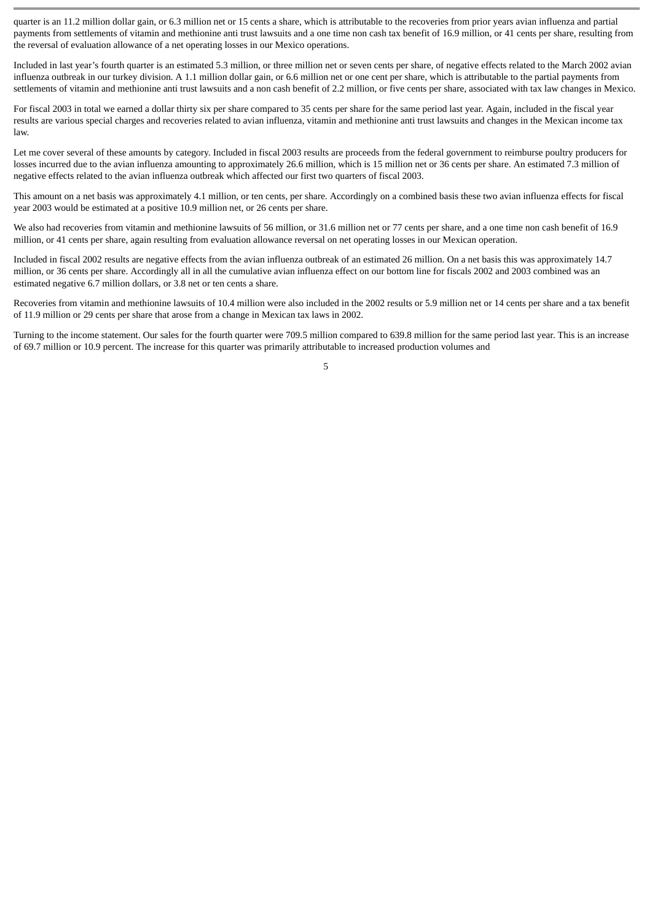quarter is an 11.2 million dollar gain, or 6.3 million net or 15 cents a share, which is attributable to the recoveries from prior years avian influenza and partial payments from settlements of vitamin and methionine anti trust lawsuits and a one time non cash tax benefit of 16.9 million, or 41 cents per share, resulting from the reversal of evaluation allowance of a net operating losses in our Mexico operations.

Included in last year's fourth quarter is an estimated 5.3 million, or three million net or seven cents per share, of negative effects related to the March 2002 avian influenza outbreak in our turkey division. A 1.1 million dollar gain, or 6.6 million net or one cent per share, which is attributable to the partial payments from settlements of vitamin and methionine anti trust lawsuits and a non cash benefit of 2.2 million, or five cents per share, associated with tax law changes in Mexico.

For fiscal 2003 in total we earned a dollar thirty six per share compared to 35 cents per share for the same period last year. Again, included in the fiscal year results are various special charges and recoveries related to avian influenza, vitamin and methionine anti trust lawsuits and changes in the Mexican income tax law.

Let me cover several of these amounts by category. Included in fiscal 2003 results are proceeds from the federal government to reimburse poultry producers for losses incurred due to the avian influenza amounting to approximately 26.6 million, which is 15 million net or 36 cents per share. An estimated 7.3 million of negative effects related to the avian influenza outbreak which affected our first two quarters of fiscal 2003.

This amount on a net basis was approximately 4.1 million, or ten cents, per share. Accordingly on a combined basis these two avian influenza effects for fiscal year 2003 would be estimated at a positive 10.9 million net, or 26 cents per share.

We also had recoveries from vitamin and methionine lawsuits of 56 million, or 31.6 million net or 77 cents per share, and a one time non cash benefit of 16.9 million, or 41 cents per share, again resulting from evaluation allowance reversal on net operating losses in our Mexican operation.

Included in fiscal 2002 results are negative effects from the avian influenza outbreak of an estimated 26 million. On a net basis this was approximately 14.7 million, or 36 cents per share. Accordingly all in all the cumulative avian influenza effect on our bottom line for fiscals 2002 and 2003 combined was an estimated negative 6.7 million dollars, or 3.8 net or ten cents a share.

Recoveries from vitamin and methionine lawsuits of 10.4 million were also included in the 2002 results or 5.9 million net or 14 cents per share and a tax benefit of 11.9 million or 29 cents per share that arose from a change in Mexican tax laws in 2002.

Turning to the income statement. Our sales for the fourth quarter were 709.5 million compared to 639.8 million for the same period last year. This is an increase of 69.7 million or 10.9 percent. The increase for this quarter was primarily attributable to increased production volumes and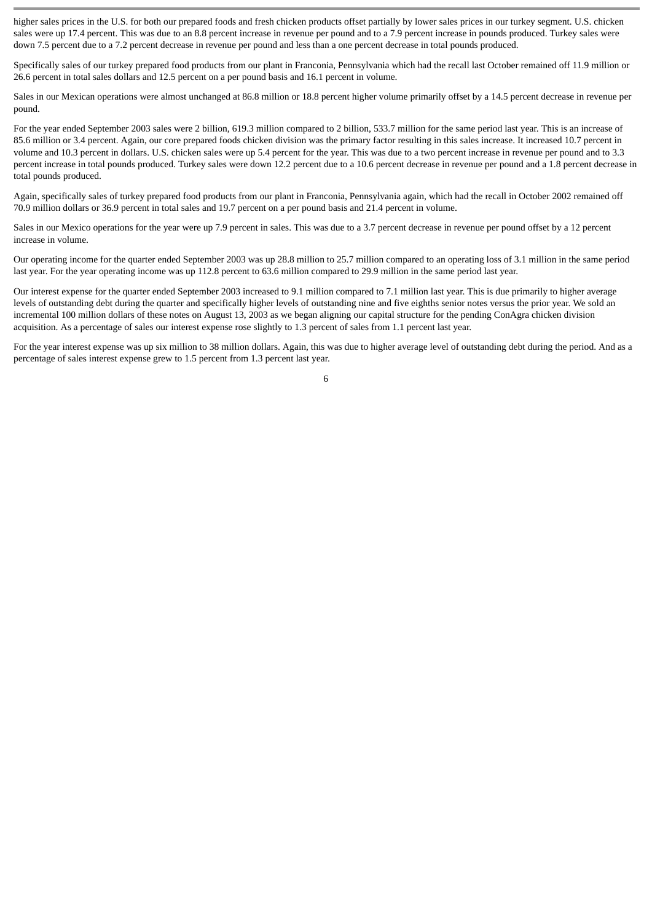higher sales prices in the U.S. for both our prepared foods and fresh chicken products offset partially by lower sales prices in our turkey segment. U.S. chicken sales were up 17.4 percent. This was due to an 8.8 percent increase in revenue per pound and to a 7.9 percent increase in pounds produced. Turkey sales were down 7.5 percent due to a 7.2 percent decrease in revenue per pound and less than a one percent decrease in total pounds produced.

Specifically sales of our turkey prepared food products from our plant in Franconia, Pennsylvania which had the recall last October remained off 11.9 million or 26.6 percent in total sales dollars and 12.5 percent on a per pound basis and 16.1 percent in volume.

Sales in our Mexican operations were almost unchanged at 86.8 million or 18.8 percent higher volume primarily offset by a 14.5 percent decrease in revenue per pound.

For the year ended September 2003 sales were 2 billion, 619.3 million compared to 2 billion, 533.7 million for the same period last year. This is an increase of 85.6 million or 3.4 percent. Again, our core prepared foods chicken division was the primary factor resulting in this sales increase. It increased 10.7 percent in volume and 10.3 percent in dollars. U.S. chicken sales were up 5.4 percent for the year. This was due to a two percent increase in revenue per pound and to 3.3 percent increase in total pounds produced. Turkey sales were down 12.2 percent due to a 10.6 percent decrease in revenue per pound and a 1.8 percent decrease in total pounds produced.

Again, specifically sales of turkey prepared food products from our plant in Franconia, Pennsylvania again, which had the recall in October 2002 remained off 70.9 million dollars or 36.9 percent in total sales and 19.7 percent on a per pound basis and 21.4 percent in volume.

Sales in our Mexico operations for the year were up 7.9 percent in sales. This was due to a 3.7 percent decrease in revenue per pound offset by a 12 percent increase in volume.

Our operating income for the quarter ended September 2003 was up 28.8 million to 25.7 million compared to an operating loss of 3.1 million in the same period last year. For the year operating income was up 112.8 percent to 63.6 million compared to 29.9 million in the same period last year.

Our interest expense for the quarter ended September 2003 increased to 9.1 million compared to 7.1 million last year. This is due primarily to higher average levels of outstanding debt during the quarter and specifically higher levels of outstanding nine and five eighths senior notes versus the prior year. We sold an incremental 100 million dollars of these notes on August 13, 2003 as we began aligning our capital structure for the pending ConAgra chicken division acquisition. As a percentage of sales our interest expense rose slightly to 1.3 percent of sales from 1.1 percent last year.

For the vear interest expense was up six million to 38 million dollars. Again, this was due to higher average level of outstanding debt during the period. And as a percentage of sales interest expense grew to 1.5 percent from 1.3 percent last year.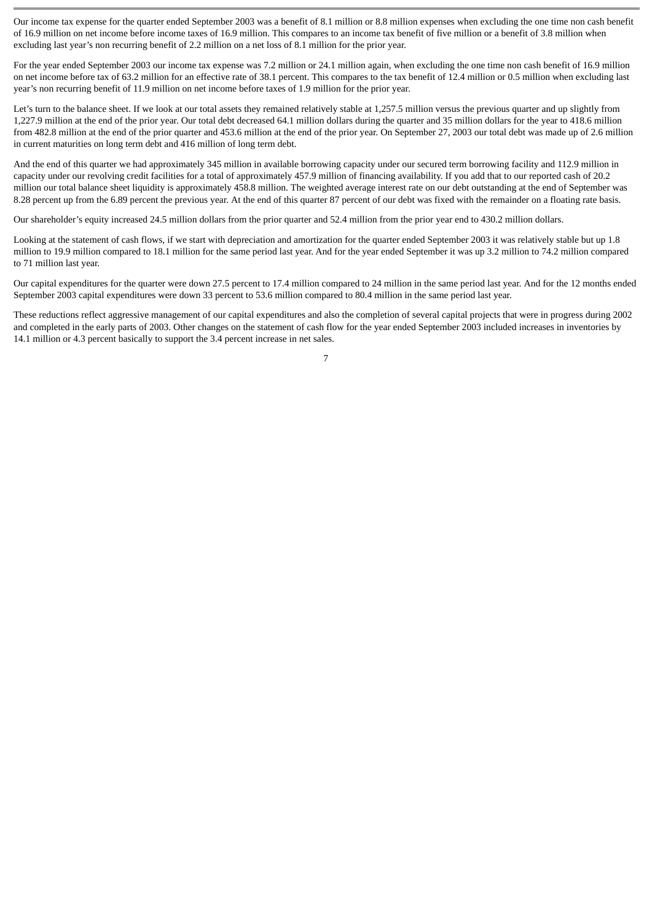Our income tax expense for the quarter ended September 2003 was a benefit of 8.1 million or 8.8 million expenses when excluding the one time non cash benefit of 16.9 million on net income before income taxes of 16.9 million. This compares to an income tax benefit of five million or a benefit of 3.8 million when excluding last year's non recurring benefit of 2.2 million on a net loss of 8.1 million for the prior year.

For the year ended September 2003 our income tax expense was 7.2 million or 24.1 million again, when excluding the one time non cash benefit of 16.9 million on net income before tax of 63.2 million for an effective rate of 38.1 percent. This compares to the tax benefit of 12.4 million or 0.5 million when excluding last year's non recurring benefit of 11.9 million on net income before taxes of 1.9 million for the prior year.

Let's turn to the balance sheet. If we look at our total assets they remained relatively stable at 1,257.5 million versus the previous quarter and up slightly from 1,227.9 million at the end of the prior year. Our total debt decreased 64.1 million dollars during the quarter and 35 million dollars for the year to 418.6 million from 482.8 million at the end of the prior quarter and 453.6 million at the end of the prior year. On September 27, 2003 our total debt was made up of 2.6 million in current maturities on long term debt and 416 million of long term debt.

And the end of this quarter we had approximately 345 million in available borrowing capacity under our secured term borrowing facility and 112.9 million in capacity under our revolving credit facilities for a total of approximately 457.9 million of financing availability. If you add that to our reported cash of 20.2 million our total balance sheet liquidity is approximately 458.8 million. The weighted average interest rate on our debt outstanding at the end of September was 8.28 percent up from the 6.89 percent the previous year. At the end of this quarter 87 percent of our debt was fixed with the remainder on a floating rate basis.

Our shareholder's equity increased 24.5 million dollars from the prior quarter and 52.4 million from the prior year end to 430.2 million dollars.

Looking at the statement of cash flows, if we start with depreciation and amortization for the quarter ended September 2003 it was relatively stable but up 1.8 million to 19.9 million compared to 18.1 million for the same period last year. And for the year ended September it was up 3.2 million to 74.2 million compared to 71 million last year.

Our capital expenditures for the quarter were down 27.5 percent to 17.4 million compared to 24 million in the same period last year. And for the 12 months ended September 2003 capital expenditures were down 33 percent to 53.6 million compared to 80.4 million in the same period last year.

These reductions reflect aggressive management of our capital expenditures and also the completion of several capital projects that were in progress during 2002 and completed in the early parts of 2003. Other changes on the statement of cash flow for the year ended September 2003 included increases in inventories by 14.1 million or 4.3 percent basically to support the 3.4 percent increase in net sales.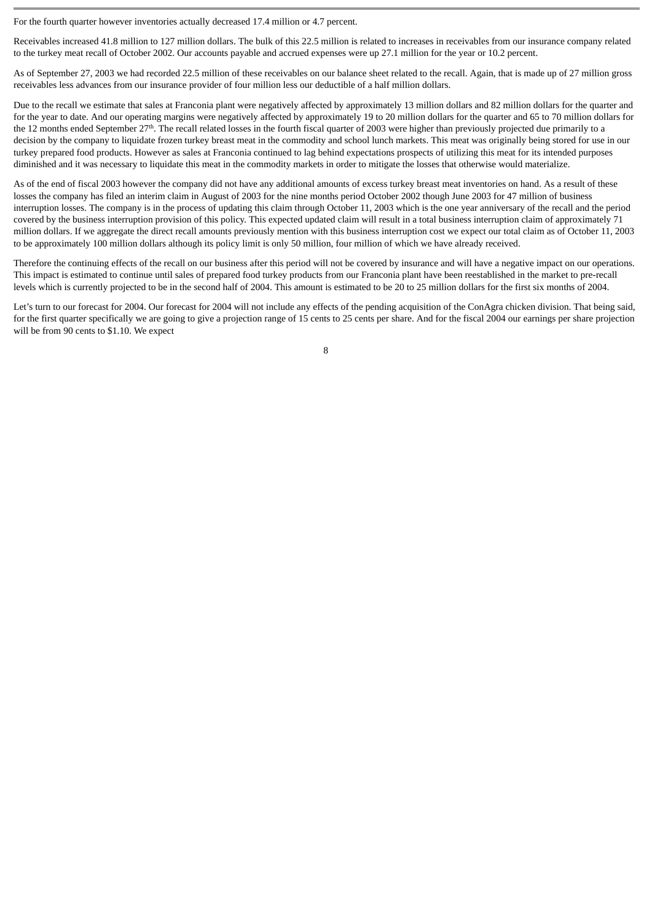For the fourth quarter however inventories actually decreased 17.4 million or 4.7 percent.

Receivables increased 41.8 million to 127 million dollars. The bulk of this 22.5 million is related to increases in receivables from our insurance company related to the turkey meat recall of October 2002. Our accounts payable and accrued expenses were up 27.1 million for the year or 10.2 percent.

As of September 27, 2003 we had recorded 22.5 million of these receivables on our balance sheet related to the recall. Again, that is made up of 27 million gross receivables less advances from our insurance provider of four million less our deductible of a half million dollars.

Due to the recall we estimate that sales at Franconia plant were negatively affected by approximately 13 million dollars and 82 million dollars for the quarter and for the year to date. And our operating margins were negatively affected by approximately 19 to 20 million dollars for the quarter and 65 to 70 million dollars for the 12 months ended September 27<sup>th</sup>. The recall related losses in the fourth fiscal quarter of 2003 were higher than previously projected due primarily to a decision by the company to liquidate frozen turkey breast meat in the commodity and school lunch markets. This meat was originally being stored for use in our turkey prepared food products. However as sales at Franconia continued to lag behind expectations prospects of utilizing this meat for its intended purposes diminished and it was necessary to liquidate this meat in the commodity markets in order to mitigate the losses that otherwise would materialize.

As of the end of fiscal 2003 however the company did not have any additional amounts of excess turkey breast meat inventories on hand. As a result of these losses the company has filed an interim claim in August of 2003 for the nine months period October 2002 though June 2003 for 47 million of business interruption losses. The company is in the process of updating this claim through October 11, 2003 which is the one year anniversary of the recall and the period covered by the business interruption provision of this policy. This expected updated claim will result in a total business interruption claim of approximately 71 million dollars. If we aggregate the direct recall amounts previously mention with this business interruption cost we expect our total claim as of October 11, 2003 to be approximately 100 million dollars although its policy limit is only 50 million, four million of which we have already received.

Therefore the continuing effects of the recall on our business after this period will not be covered by insurance and will have a negative impact on our operations. This impact is estimated to continue until sales of prepared food turkey products from our Franconia plant have been reestablished in the market to pre-recall levels which is currently projected to be in the second half of 2004. This amount is estimated to be 20 to 25 million dollars for the first six months of 2004.

Let's turn to our forecast for 2004. Our forecast for 2004 will not include any effects of the pending acquisition of the ConAgra chicken division. That being said, for the first quarter specifically we are going to give a projection range of 15 cents to 25 cents per share. And for the fiscal 2004 our earnings per share projection will be from 90 cents to \$1.10. We expect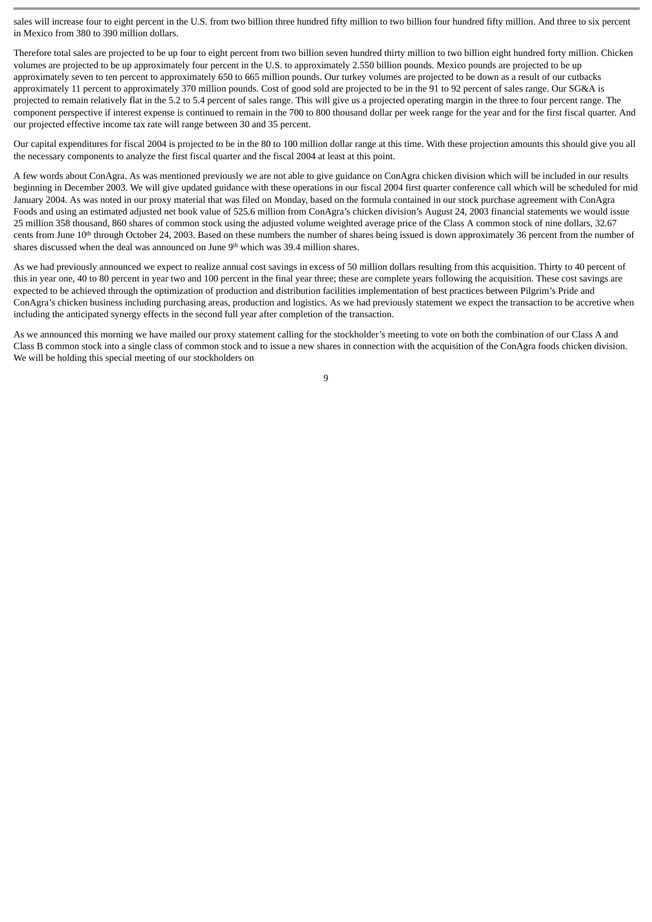sales will increase four to eight percent in the U.S. from two billion three hundred fifty million to two billion four hundred fifty million. And three to six percent in Mexico from 380 to 390 million dollars.

Therefore total sales are projected to be up four to eight percent from two billion seven hundred thirty million to two billion eight hundred forty million. Chicken volumes are projected to be up approximately four percent in the U.S. to approximately 2.550 billion pounds. Mexico pounds are projected to be up approximately seven to ten percent to approximately 650 to 665 million pounds. Our turkey volumes are projected to be down as a result of our cutbacks approximately 11 percent to approximately 370 million pounds. Cost of good sold are projected to be in the 91 to 92 percent of sales range. Our SG&A is projected to remain relatively flat in the 5.2 to 5.4 percent of sales range. This will give us a projected operating margin in the three to four percent range. The component perspective if interest expense is continued to remain in the 700 to 800 thousand dollar per week range for the year and for the first fiscal quarter. And our projected effective income tax rate will range between 30 and 35 percent.

Our capital expenditures for fiscal 2004 is projected to be in the 80 to 100 million dollar range at this time. With these projection amounts this should give you all the necessary components to analyze the first fiscal quarter and the fiscal 2004 at least at this point.

A few words about ConAgra. As was mentioned previously we are not able to give guidance on ConAgra chicken division which will be included in our results beginning in December 2003. We will give updated guidance with these operations in our fiscal 2004 first quarter conference call which will be scheduled for mid January 2004. As was noted in our proxy material that was filed on Monday, based on the formula contained in our stock purchase agreement with ConAgra Foods and using an estimated adjusted net book value of 525.6 million from ConAgra's chicken division's August 24, 2003 financial statements we would issue 25 million 358 thousand, 860 shares of common stock using the adjusted volume weighted average price of the Class A common stock of nine dollars, 32.67 cents from June 10<sup>th</sup> through October 24, 2003. Based on these numbers the number of shares being issued is down approximately 36 percent from the number of shares discussed when the deal was announced on June 9<sup>th</sup> which was 39.4 million shares.

As we had previously announced we expect to realize annual cost savings in excess of 50 million dollars resulting from this acquisition. Thirty to 40 percent of this in year one, 40 to 80 percent in year two and 100 percent in the final year three; these are complete years following the acquisition. These cost savings are expected to be achieved through the optimization of production and distribution facilities implementation of best practices between Pilgrim's Pride and ConAgra's chicken business including purchasing areas, production and logistics. As we had previously statement we expect the transaction to be accretive when including the anticipated synergy effects in the second full year after completion of the transaction.

As we announced this morning we have mailed our proxy statement calling for the stockholder's meeting to vote on both the combination of our Class A and Class B common stock into a single class of common stock and to issue a new shares in connection with the acquisition of the ConAgra foods chicken division. We will be holding this special meeting of our stockholders on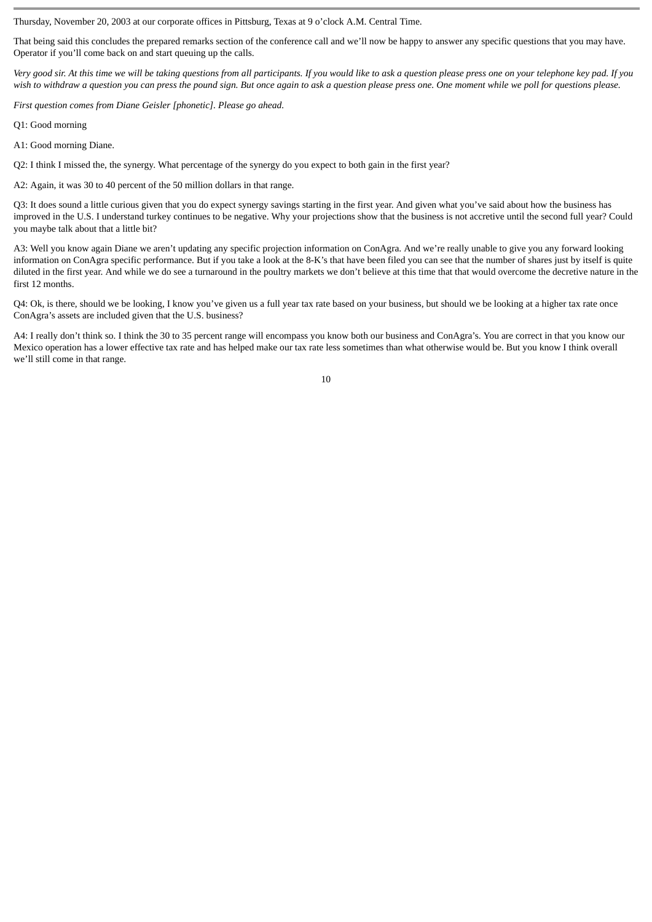Thursday, November 20, 2003 at our corporate offices in Pittsburg, Texas at 9 o'clock A.M. Central Time.

That being said this concludes the prepared remarks section of the conference call and we'll now be happy to answer any specific questions that you may have. Operator if you'll come back on and start queuing up the calls.

*Very good sir. At this time we will be taking questions from all participants. If you would like to ask a question please press one on your telephone key pad. If you wish to withdraw a question you can press the pound sign. But once again to ask a question please press one. One moment while we poll for questions please.*

*First question comes from Diane Geisler [phonetic]. Please go ahead.*

Q1: Good morning

A1: Good morning Diane.

Q2: I think I missed the, the synergy. What percentage of the synergy do you expect to both gain in the first year?

A2: Again, it was 30 to 40 percent of the 50 million dollars in that range.

Q3: It does sound a little curious given that you do expect synergy savings starting in the first year. And given what you've said about how the business has improved in the U.S. I understand turkey continues to be negative. Why your projections show that the business is not accretive until the second full year? Could you maybe talk about that a little bit?

A3: Well you know again Diane we aren't updating any specific projection information on ConAgra. And we're really unable to give you any forward looking information on ConAgra specific performance. But if you take a look at the 8-K's that have been filed you can see that the number of shares just by itself is quite diluted in the first year. And while we do see a turnaround in the poultry markets we don't believe at this time that that would overcome the decretive nature in the first 12 months.

Q4: Ok, is there, should we be looking, I know you've given us a full year tax rate based on your business, but should we be looking at a higher tax rate once ConAgra's assets are included given that the U.S. business?

A4: I really don't think so. I think the 30 to 35 percent range will encompass you know both our business and ConAgra's. You are correct in that you know our Mexico operation has a lower effective tax rate and has helped make our tax rate less sometimes than what otherwise would be. But you know I think overall we'll still come in that range.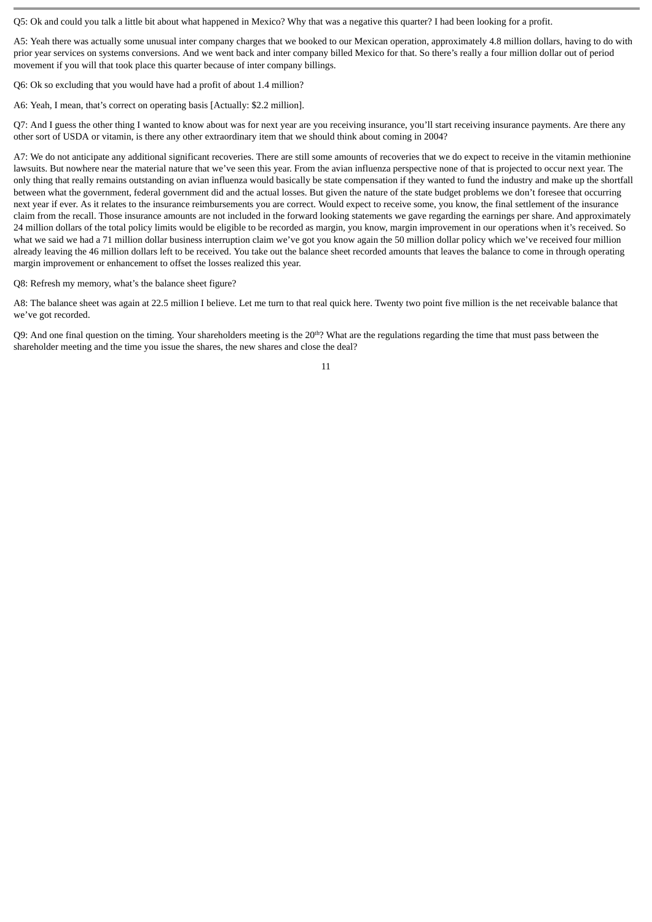Q5: Ok and could you talk a little bit about what happened in Mexico? Why that was a negative this quarter? I had been looking for a profit.

A5: Yeah there was actually some unusual inter company charges that we booked to our Mexican operation, approximately 4.8 million dollars, having to do with prior year services on systems conversions. And we went back and inter company billed Mexico for that. So there's really a four million dollar out of period movement if you will that took place this quarter because of inter company billings.

Q6: Ok so excluding that you would have had a profit of about 1.4 million?

A6: Yeah, I mean, that's correct on operating basis [Actually: \$2.2 million].

Q7: And I guess the other thing I wanted to know about was for next year are you receiving insurance, you'll start receiving insurance payments. Are there any other sort of USDA or vitamin, is there any other extraordinary item that we should think about coming in 2004?

A7: We do not anticipate any additional significant recoveries. There are still some amounts of recoveries that we do expect to receive in the vitamin methionine lawsuits. But nowhere near the material nature that we've seen this year. From the avian influenza perspective none of that is projected to occur next year. The only thing that really remains outstanding on avian influenza would basically be state compensation if they wanted to fund the industry and make up the shortfall between what the government, federal government did and the actual losses. But given the nature of the state budget problems we don't foresee that occurring next year if ever. As it relates to the insurance reimbursements you are correct. Would expect to receive some, you know, the final settlement of the insurance claim from the recall. Those insurance amounts are not included in the forward looking statements we gave regarding the earnings per share. And approximately 24 million dollars of the total policy limits would be eligible to be recorded as margin, you know, margin improvement in our operations when it's received. So what we said we had a 71 million dollar business interruption claim we've got you know again the 50 million dollar policy which we've received four million already leaving the 46 million dollars left to be received. You take out the balance sheet recorded amounts that leaves the balance to come in through operating margin improvement or enhancement to offset the losses realized this year.

Q8: Refresh my memory, what's the balance sheet figure?

A8: The balance sheet was again at 22.5 million I believe. Let me turn to that real quick here. Twenty two point five million is the net receivable balance that we've got recorded.

Q9: And one final question on the timing. Your shareholders meeting is the  $20<sup>th</sup>$ ? What are the regulations regarding the time that must pass between the shareholder meeting and the time you issue the shares, the new shares and close the deal?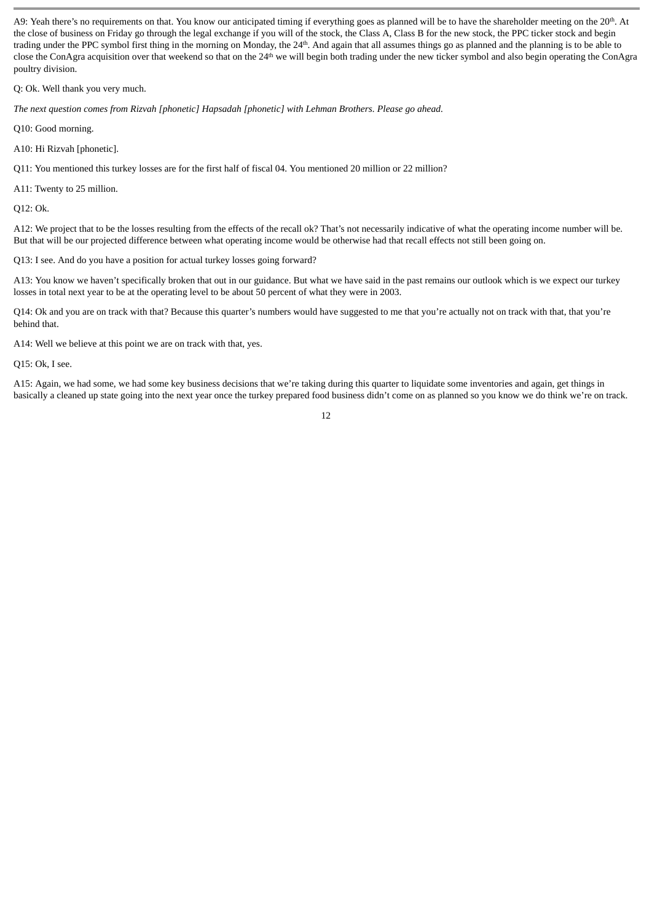A9: Yeah there's no requirements on that. You know our anticipated timing if everything goes as planned will be to have the shareholder meeting on the 20<sup>th</sup>. At the close of business on Friday go through the legal exchange if you will of the stock, the Class A, Class B for the new stock, the PPC ticker stock and begin trading under the PPC symbol first thing in the morning on Monday, the 24<sup>th</sup>. And again that all assumes things go as planned and the planning is to be able to close the ConAgra acquisition over that weekend so that on the 24<sup>th</sup> we will begin both trading under the new ticker symbol and also begin operating the ConAgra poultry division.

Q: Ok. Well thank you very much.

*The next question comes from Rizvah [phonetic] Hapsadah [phonetic] with Lehman Brothers. Please go ahead.*

Q10: Good morning.

A10: Hi Rizvah [phonetic].

Q11: You mentioned this turkey losses are for the first half of fiscal 04. You mentioned 20 million or 22 million?

A11: Twenty to 25 million.

Q12: Ok.

A12: We project that to be the losses resulting from the effects of the recall ok? That's not necessarily indicative of what the operating income number will be. But that will be our projected difference between what operating income would be otherwise had that recall effects not still been going on.

Q13: I see. And do you have a position for actual turkey losses going forward?

A13: You know we haven't specifically broken that out in our guidance. But what we have said in the past remains our outlook which is we expect our turkey losses in total next year to be at the operating level to be about 50 percent of what they were in 2003.

Q14: Ok and you are on track with that? Because this quarter's numbers would have suggested to me that you're actually not on track with that, that you're behind that.

A14: Well we believe at this point we are on track with that, yes.

Q15: Ok, I see.

A15: Again, we had some, we had some key business decisions that we're taking during this quarter to liquidate some inventories and again, get things in basically a cleaned up state going into the next year once the turkey prepared food business didn't come on as planned so you know we do think we're on track.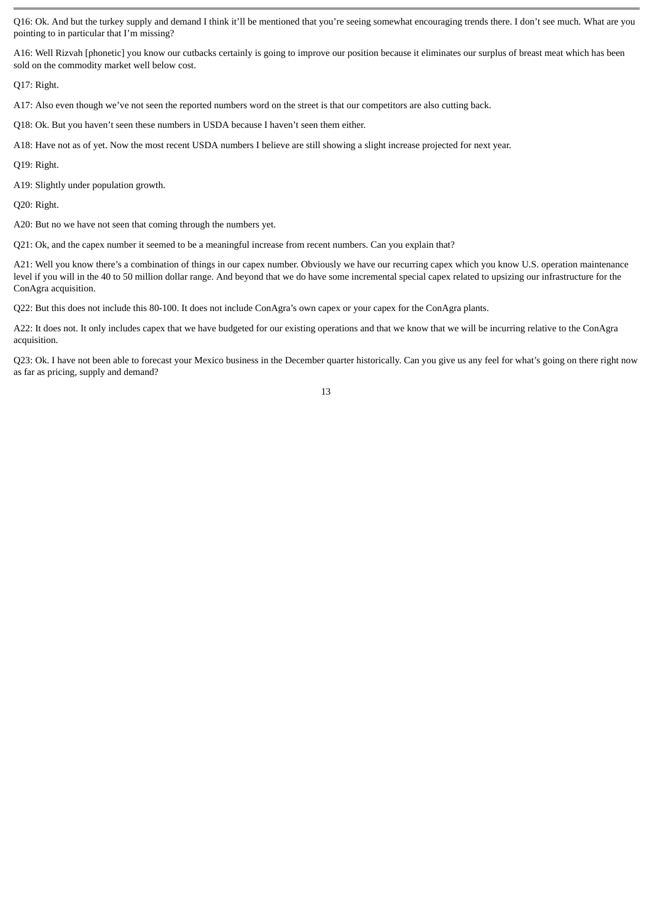Q16: Ok. And but the turkey supply and demand I think it'll be mentioned that you're seeing somewhat encouraging trends there. I don't see much. What are you pointing to in particular that I'm missing?

A16: Well Rizvah [phonetic] you know our cutbacks certainly is going to improve our position because it eliminates our surplus of breast meat which has been sold on the commodity market well below cost.

Q17: Right.

A17: Also even though we've not seen the reported numbers word on the street is that our competitors are also cutting back.

Q18: Ok. But you haven't seen these numbers in USDA because I haven't seen them either.

A18: Have not as of yet. Now the most recent USDA numbers I believe are still showing a slight increase projected for next year.

Q19: Right.

A19: Slightly under population growth.

Q20: Right.

A20: But no we have not seen that coming through the numbers yet.

Q21: Ok, and the capex number it seemed to be a meaningful increase from recent numbers. Can you explain that?

A21: Well you know there's a combination of things in our capex number. Obviously we have our recurring capex which you know U.S. operation maintenance level if you will in the 40 to 50 million dollar range. And beyond that we do have some incremental special capex related to upsizing our infrastructure for the ConAgra acquisition.

Q22: But this does not include this 80-100. It does not include ConAgra's own capex or your capex for the ConAgra plants.

A22: It does not. It only includes capex that we have budgeted for our existing operations and that we know that we will be incurring relative to the ConAgra acquisition.

Q23: Ok. I have not been able to forecast your Mexico business in the December quarter historically. Can you give us any feel for what's going on there right now as far as pricing, supply and demand?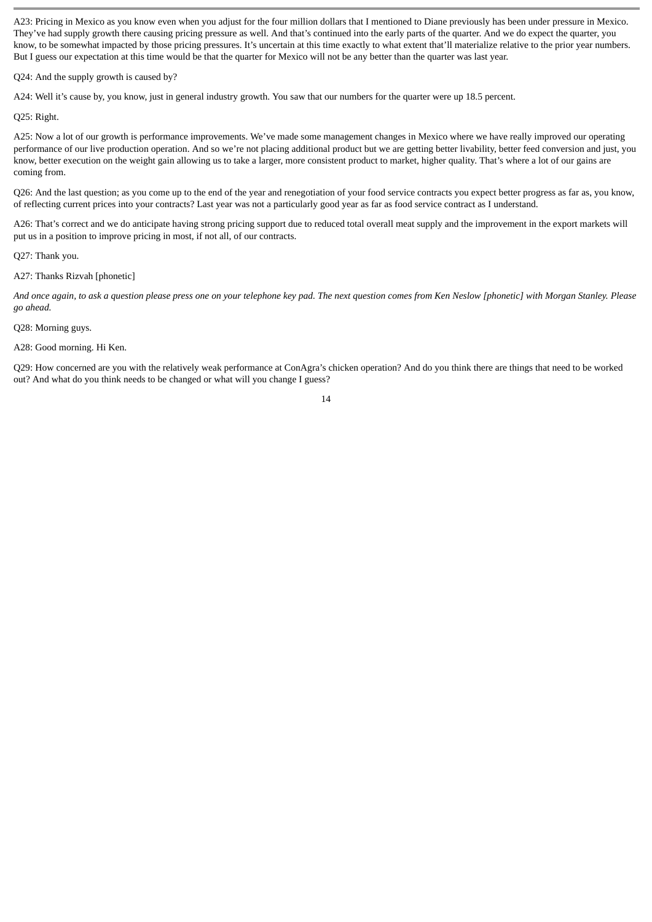A23: Pricing in Mexico as you know even when you adjust for the four million dollars that I mentioned to Diane previously has been under pressure in Mexico. They've had supply growth there causing pricing pressure as well. And that's continued into the early parts of the quarter. And we do expect the quarter, you know, to be somewhat impacted by those pricing pressures. It's uncertain at this time exactly to what extent that'll materialize relative to the prior year numbers. But I guess our expectation at this time would be that the quarter for Mexico will not be any better than the quarter was last year.

Q24: And the supply growth is caused by?

A24: Well it's cause by, you know, just in general industry growth. You saw that our numbers for the quarter were up 18.5 percent.

Q25: Right.

A25: Now a lot of our growth is performance improvements. We've made some management changes in Mexico where we have really improved our operating performance of our live production operation. And so we're not placing additional product but we are getting better livability, better feed conversion and just, you know, better execution on the weight gain allowing us to take a larger, more consistent product to market, higher quality. That's where a lot of our gains are coming from.

Q26: And the last question; as you come up to the end of the year and renegotiation of your food service contracts you expect better progress as far as, you know, of reflecting current prices into your contracts? Last year was not a particularly good year as far as food service contract as I understand.

A26: That's correct and we do anticipate having strong pricing support due to reduced total overall meat supply and the improvement in the export markets will put us in a position to improve pricing in most, if not all, of our contracts.

Q27: Thank you.

A27: Thanks Rizvah [phonetic]

*And once again, to ask a question please press one on your telephone key pad. The next question comes from Ken Neslow [phonetic] with Morgan Stanley. Please go ahead.*

Q28: Morning guys.

A28: Good morning. Hi Ken.

Q29: How concerned are you with the relatively weak performance at ConAgra's chicken operation? And do you think there are things that need to be worked out? And what do you think needs to be changed or what will you change I guess?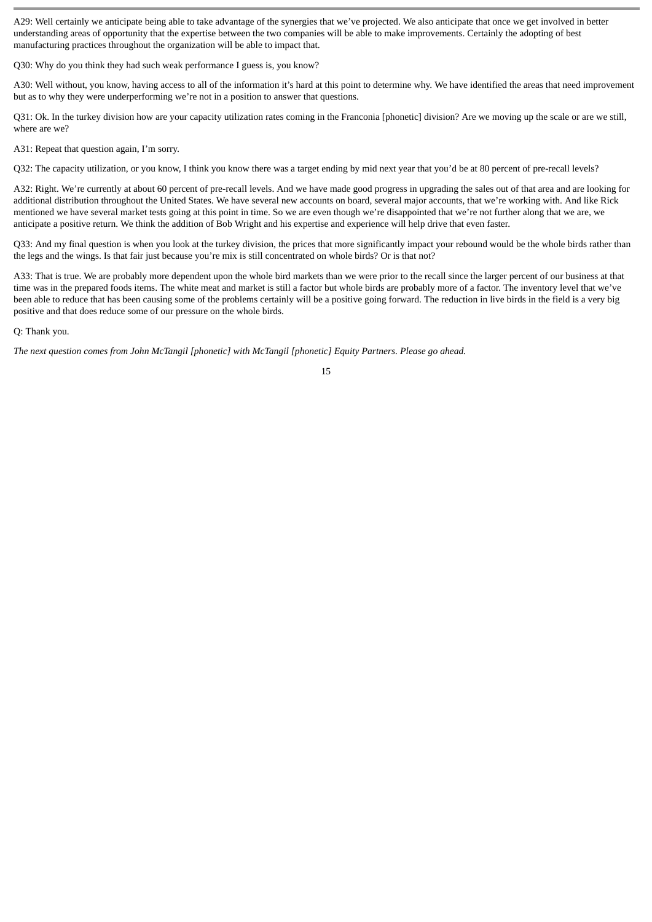A29: Well certainly we anticipate being able to take advantage of the synergies that we've projected. We also anticipate that once we get involved in better understanding areas of opportunity that the expertise between the two companies will be able to make improvements. Certainly the adopting of best manufacturing practices throughout the organization will be able to impact that.

Q30: Why do you think they had such weak performance I guess is, you know?

A30: Well without, you know, having access to all of the information it's hard at this point to determine why. We have identified the areas that need improvement but as to why they were underperforming we're not in a position to answer that questions.

Q31: Ok. In the turkey division how are your capacity utilization rates coming in the Franconia [phonetic] division? Are we moving up the scale or are we still, where are we?

A31: Repeat that question again, I'm sorry.

Q32: The capacity utilization, or you know, I think you know there was a target ending by mid next year that you'd be at 80 percent of pre-recall levels?

A32: Right. We're currently at about 60 percent of pre-recall levels. And we have made good progress in upgrading the sales out of that area and are looking for additional distribution throughout the United States. We have several new accounts on board, several major accounts, that we're working with. And like Rick mentioned we have several market tests going at this point in time. So we are even though we're disappointed that we're not further along that we are, we anticipate a positive return. We think the addition of Bob Wright and his expertise and experience will help drive that even faster.

Q33: And my final question is when you look at the turkey division, the prices that more significantly impact your rebound would be the whole birds rather than the legs and the wings. Is that fair just because you're mix is still concentrated on whole birds? Or is that not?

A33: That is true. We are probably more dependent upon the whole bird markets than we were prior to the recall since the larger percent of our business at that time was in the prepared foods items. The white meat and market is still a factor but whole birds are probably more of a factor. The inventory level that we've been able to reduce that has been causing some of the problems certainly will be a positive going forward. The reduction in live birds in the field is a very big positive and that does reduce some of our pressure on the whole birds.

Q: Thank you.

*The next question comes from John McTangil [phonetic] with McTangil [phonetic] Equity Partners. Please go ahead.*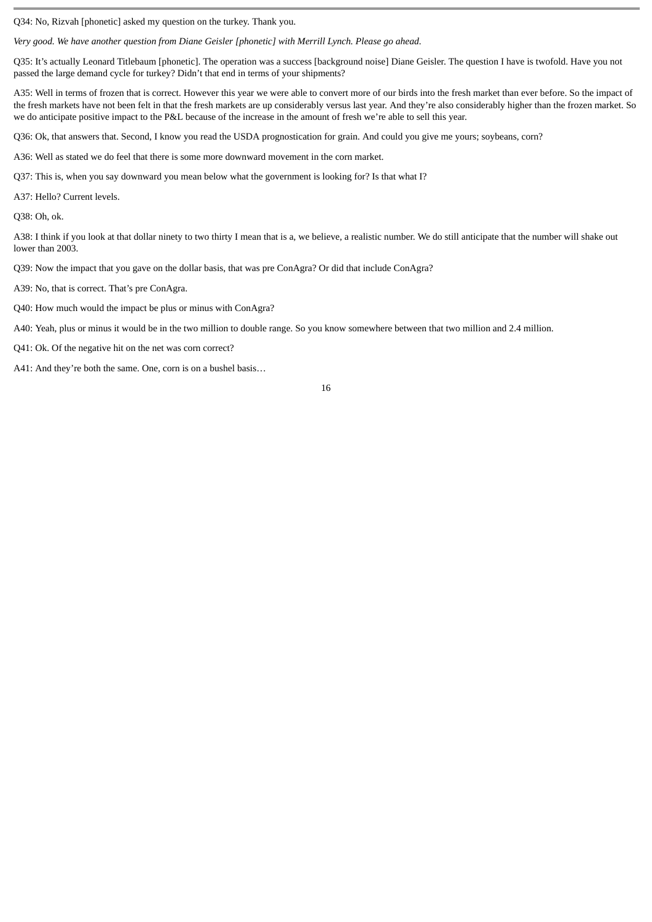Q34: No, Rizvah [phonetic] asked my question on the turkey. Thank you.

*Very good. We have another question from Diane Geisler [phonetic] with Merrill Lynch. Please go ahead.*

Q35: It's actually Leonard Titlebaum [phonetic]. The operation was a success [background noise] Diane Geisler. The question I have is twofold. Have you not passed the large demand cycle for turkey? Didn't that end in terms of your shipments?

A35: Well in terms of frozen that is correct. However this year we were able to convert more of our birds into the fresh market than ever before. So the impact of the fresh markets have not been felt in that the fresh markets are up considerably versus last year. And they're also considerably higher than the frozen market. So we do anticipate positive impact to the P&L because of the increase in the amount of fresh we're able to sell this year.

Q36: Ok, that answers that. Second, I know you read the USDA prognostication for grain. And could you give me yours; soybeans, corn?

A36: Well as stated we do feel that there is some more downward movement in the corn market.

Q37: This is, when you say downward you mean below what the government is looking for? Is that what I?

A37: Hello? Current levels.

Q38: Oh, ok.

A38: I think if you look at that dollar ninety to two thirty I mean that is a, we believe, a realistic number. We do still anticipate that the number will shake out lower than 2003.

Q39: Now the impact that you gave on the dollar basis, that was pre ConAgra? Or did that include ConAgra?

A39: No, that is correct. That's pre ConAgra.

Q40: How much would the impact be plus or minus with ConAgra?

A40: Yeah, plus or minus it would be in the two million to double range. So you know somewhere between that two million and 2.4 million.

Q41: Ok. Of the negative hit on the net was corn correct?

A41: And they're both the same. One, corn is on a bushel basis…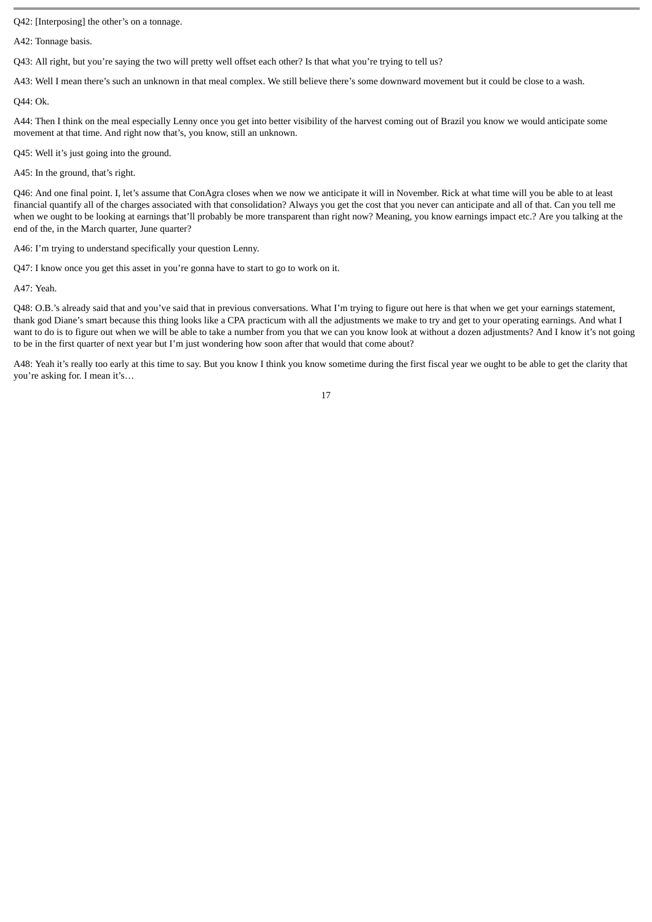Q42: [Interposing] the other's on a tonnage.

A42: Tonnage basis.

Q43: All right, but you're saying the two will pretty well offset each other? Is that what you're trying to tell us?

A43: Well I mean there's such an unknown in that meal complex. We still believe there's some downward movement but it could be close to a wash.

Q44: Ok.

A44: Then I think on the meal especially Lenny once you get into better visibility of the harvest coming out of Brazil you know we would anticipate some movement at that time. And right now that's, you know, still an unknown.

Q45: Well it's just going into the ground.

A45: In the ground, that's right.

Q46: And one final point. I, let's assume that ConAgra closes when we now we anticipate it will in November. Rick at what time will you be able to at least financial quantify all of the charges associated with that consolidation? Always you get the cost that you never can anticipate and all of that. Can you tell me when we ought to be looking at earnings that'll probably be more transparent than right now? Meaning, you know earnings impact etc.? Are you talking at the end of the, in the March quarter, June quarter?

A46: I'm trying to understand specifically your question Lenny.

Q47: I know once you get this asset in you're gonna have to start to go to work on it.

A47: Yeah.

Q48: O.B.'s already said that and you've said that in previous conversations. What I'm trying to figure out here is that when we get your earnings statement, thank god Diane's smart because this thing looks like a CPA practicum with all the adjustments we make to try and get to your operating earnings. And what I want to do is to figure out when we will be able to take a number from you that we can you know look at without a dozen adjustments? And I know it's not going to be in the first quarter of next year but I'm just wondering how soon after that would that come about?

A48: Yeah it's really too early at this time to say. But you know I think you know sometime during the first fiscal year we ought to be able to get the clarity that you're asking for. I mean it's…